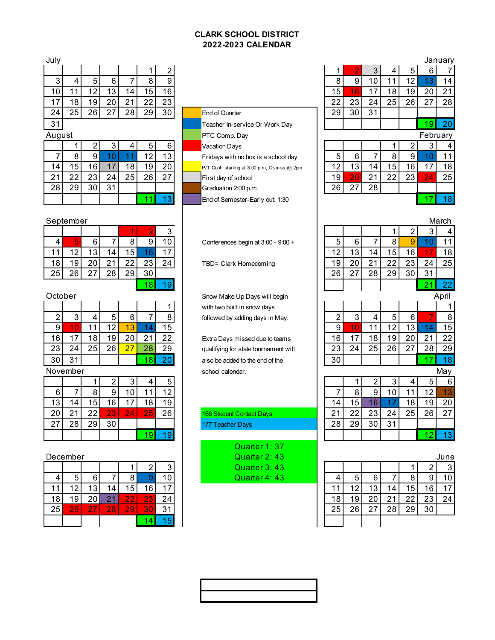### **CLARK SCHOOL DISTRICT 2022-2023 CALENDAR**

| July |                 |     |    |    |    |    |                                |    |                 |    |    |     |            | January |
|------|-----------------|-----|----|----|----|----|--------------------------------|----|-----------------|----|----|-----|------------|---------|
|      |                 |     |    |    |    |    |                                |    |                 |    |    |     |            |         |
|      |                 |     | 6  |    |    |    |                                |    |                 | 10 |    |     |            | 14      |
| 10.  |                 |     | 13 | 4  | 5  | 16 |                                | 15 |                 |    | 8  | 19. | 20         | 21      |
|      | 181             | 19, | 20 |    | 22 | 23 |                                | 22 | 23              | 24 | 25 | 26  | ا ے        | 28      |
| 24   | 25 <sub>1</sub> | 26  | 27 | 28 | 29 | 30 | <b>End of Quarter</b>          | 29 | 30 <sub>1</sub> | 31 |    |     |            |         |
| 31   |                 |     |    |    |    |    | Teacher In-service Or Work Day |    |                 |    |    |     | <u>'9.</u> | 20      |
|      | August          |     |    |    |    |    | <b>PTC Comp. Day</b>           |    |                 |    |    |     | February   |         |

| ັບ |    | 2  | 3  |    | 5  | 6  |
|----|----|----|----|----|----|----|
|    | 8  | 9  | 10 |    | 12 | 13 |
| 14 | 15 | 16 | 17 | 18 | 19 | 20 |
| 21 | 22 | 23 | 24 | 25 | 26 | 27 |
| 28 | 29 | 30 | 31 |    |    |    |
|    |    |    |    |    |    | 13 |

# **End of Quarter** Teacher In-service Or Work Day

Vacation Days

Fridays with no box is a school day

P/T Conf. starting at 3:00 p.m, Dismiss @ 2pm

First day of school

Graduation 2:00 p.m.

End of Semester-Early out: 1:30

October Snow Make Up Days will begin 1 with two built in snow days  $\begin{array}{|c|c|c|}\n\hline\n\text{2} & \text{3} & \text{6} & \text{6} & \text{6} & \text{7} \\\hline\n\end{array}$  5 followed by adding days in May.

21 22 Extra Days missed due to teams  $23 \mid 24 \mid 25 \mid 26 \mid 27 \mid 28 \mid 29 \mid$  qualifying for state tournament will  $\begin{array}{|c|c|c|c|c|}\n\hline\n 30 & 31 & 18 & 20 & 30 & 31 \\
\hline\n\end{array}$  also be added to the end of the November school calendar. May

# 5<br><u>2<br>6</u><br>**166 Student Contact Days** 177 Teacher Days

Quarter 1: 37 December **December December Quarter 2: 43** Quarter 3: 43 **Quarter 4: 43** 

| ulv |                                        |    |    |    |    |    |                                |    |    |    |    |     |          | January |
|-----|----------------------------------------|----|----|----|----|----|--------------------------------|----|----|----|----|-----|----------|---------|
|     |                                        |    |    |    |    |    |                                |    |    |    |    |     | h        |         |
|     |                                        |    |    |    |    |    |                                |    | 9  |    |    |     |          | 14      |
| 10  |                                        |    | చ  | 14 | 5  | 16 |                                | 15 | 16 |    | 8  | 19. | 20       | 21      |
|     | 8                                      | 19 | 20 | າາ | 22 | 23 |                                | 22 | 23 | 24 | 25 | 26  | ^7       | 28      |
| 24  | 25<br>26<br>28<br>29<br>ົາ<br><u>.</u> |    |    |    |    | 30 | <b>End of Quarter</b>          | 29 | 30 | 31 |    |     |          |         |
| 31  |                                        |    |    |    |    |    | Teacher In-service Or Work Day |    |    |    |    |     | -9       | 20      |
|     | ugust                                  |    |    |    |    |    | <b>PTC Comp. Day</b>           |    |    |    |    |     | February |         |

|    |    |    |    | 2  | 3  |     |
|----|----|----|----|----|----|-----|
| 5  | 6  |    |    |    |    |     |
| 12 | 13 | 14 | 15 | 16 |    | 18  |
| 19 |    | 21 | 22 | 23 | 24 | 25  |
| 26 | 27 | 28 |    |    |    |     |
|    |    |    |    |    |    | 18. |

|    | September |            |    |    |    |    |                                    |    |     |    |     |         |         | March |
|----|-----------|------------|----|----|----|----|------------------------------------|----|-----|----|-----|---------|---------|-------|
|    |           |            |    |    |    |    |                                    |    |     |    |     |         |         |       |
|    |           |            |    |    |    | 10 | Conferences begin at 3:00 - 9:00 + |    |     |    |     |         |         |       |
|    |           | - 2<br>l v | 4  | ხ  |    |    |                                    |    | ڻ ا |    |     |         |         | 18    |
| 18 |           | 20         |    |    | 23 | 24 | TBD= Clark Homecoming              | °9 | 20  |    | n r | ົ<br>∠⊾ | 24      | 25    |
| 25 | ΩC        | 27         | 28 | 29 | 30 |    |                                    | 26 | 27  | 28 | 29  | 30      | 21<br>ັ |       |
|    |           |            |    |    |    |    |                                    |    |     |    | つつ  |         |         |       |

|     | tober: |    |    |   |  |    | Snow Make Up Days will begin         |    |    |    |   |    | April |
|-----|--------|----|----|---|--|----|--------------------------------------|----|----|----|---|----|-------|
|     |        |    |    |   |  |    | with two built in snow days          |    |    |    |   |    |       |
| 2   |        |    |    | 6 |  | Զ  | followed by adding days in May.      |    |    |    |   |    | 8     |
| 9   |        |    | 2  | 3 |  | .ხ |                                      |    |    |    |   |    | 15    |
| 6 I |        | 8  | ۱9 |   |  | າາ | Extra Days missed due to teams       | 16 |    | 8  | 9 | 20 | 22    |
| ا 3 |        | 25 | 26 |   |  | 29 | qualifying for state tournament will | 23 | 24 | 25 |   | つつ | 29    |
| 0 I | 31     |    |    |   |  |    | also be added to the end of the      | 30 |    |    |   |    | 18    |
|     |        |    |    |   |  |    |                                      |    |    |    |   |    | . .   |

|                 | <b>UVELINGI</b>    |    |                |               |    |                 | SCITOOI Calendar.        |         |    |                 |    |    |                 | <b>IVICI V</b> |
|-----------------|--------------------|----|----------------|---------------|----|-----------------|--------------------------|---------|----|-----------------|----|----|-----------------|----------------|
|                 |                    |    |                |               |    | ᄃ               |                          |         |    |                 |    |    |                 | 6              |
|                 |                    |    |                |               |    | 10              |                          |         |    | 9               |    |    | $\overline{1}$  | 1 2            |
| 13 <sub>1</sub> | .4                 | 5  |                |               |    | 19 <sub>1</sub> |                          | л       | 15 |                 |    | 18 | 19 <sub>1</sub> | 20             |
| 20              | $\sim$<br><u>.</u> | ົດ | $\Omega$<br>Zá | $\mathsf{24}$ | 25 | 26              | 166 Student Contact Days | n,<br>∠ | 22 | 231             | 24 | 25 | 26              | 27             |
| 27              | 28                 | 29 | 30             |               |    |                 | 177 Teacher Days         | 28      | 29 | 30 <sup>1</sup> | 31 |    |                 |                |
|                 |                    |    |                |               |    |                 |                          |         |    |                 |    |    |                 |                |

|    | ecember<br>◠ |    |    |     |    |    | Quarter 2:43 |  |               |  |    |    |                 |    | June |         |    |
|----|--------------|----|----|-----|----|----|--------------|--|---------------|--|----|----|-----------------|----|------|---------|----|
|    |              |    |    |     |    |    |              |  | Quarter 3:43  |  |    |    |                 |    |      |         | ≏  |
|    | 5            |    |    |     |    |    |              |  | Quarter 4: 43 |  |    | ∽  | h.              |    |      |         | 10 |
|    | ົ<br>∼       |    |    | 5   | 6  |    |              |  |               |  |    |    | 13 <sub>1</sub> |    | 5    | 16      |    |
| 18 | 19           | חר |    | 22  | ZJ | 24 |              |  |               |  |    | 19 | 20              |    | ററ   | ົ<br>23 | 24 |
| 25 | 26           |    | 28 | י29 | 30 | 21 |              |  |               |  | 25 | 26 | າ               | 28 | 29   | 30      |    |
|    |              |    |    |     |    |    |              |  |               |  |    |    |                 |    |      |         |    |

|                 |    | 2  | 3  |  |
|-----------------|----|----|----|--|
|                 | 8  | 9  | 0  |  |
|                 | 15 | 16 |    |  |
| $\overline{21}$ | 22 | 23 | 24 |  |
| 28              | 29 | 30 | 31 |  |
|                 |    |    | 5  |  |
|                 |    |    |    |  |

| )ctober |        |    |    |    |  |  |  |  |  |  |  |  |  |  |
|---------|--------|----|----|----|--|--|--|--|--|--|--|--|--|--|
|         |        |    |    |    |  |  |  |  |  |  |  |  |  |  |
| 2       | 3      | 4  | 5  | 6  |  |  |  |  |  |  |  |  |  |  |
| 9       |        |    | 12 |    |  |  |  |  |  |  |  |  |  |  |
| 16      |        | 18 | 19 | 20 |  |  |  |  |  |  |  |  |  |  |
| n c     | ⌒<br>Λ |    |    |    |  |  |  |  |  |  |  |  |  |  |

|    | INUVUIIINUI |    |    |    |    |     |  |  |  |  |  |  |  |  |
|----|-------------|----|----|----|----|-----|--|--|--|--|--|--|--|--|
|    |             |    | 2  | 3  |    |     |  |  |  |  |  |  |  |  |
| 6  |             | 8  | 9  | 10 |    | Ľ   |  |  |  |  |  |  |  |  |
| 13 | 14          | 15 | 16 | 17 | 18 | ا ا |  |  |  |  |  |  |  |  |
| 20 | 21          | 22 | 23 | 24 | 25 | 26  |  |  |  |  |  |  |  |  |
| 27 | 28          | 29 | 30 |    |    |     |  |  |  |  |  |  |  |  |
|    |             |    |    |    |    |     |  |  |  |  |  |  |  |  |

|    | -------- |    |    |                     |  |     | ----------    |    |     |        |             |                |    |
|----|----------|----|----|---------------------|--|-----|---------------|----|-----|--------|-------------|----------------|----|
|    |          |    |    |                     |  |     | Quarter 3:43  |    |     |        |             |                | 2  |
|    |          |    |    |                     |  |     | Quarter 4: 43 |    |     |        |             |                | 9  |
|    |          |    | 14 | 5                   |  |     |               |    |     | u      |             | 15             | 16 |
| 18 | 19       | 20 | 04 | $\sim$ $\sim$<br>-- |  | 24  |               | 18 | 19. | $\sim$ | $2^{\cdot}$ | つつ<br><u>_</u> | 23 |
| 25 | 26       | 07 | 28 | 29                  |  | ົາຈ |               | 25 | 26  | ⌒      | 28          | 29             | 30 |
|    |          |    |    |                     |  |     |               |    |     |        |             |                |    |
|    |          |    |    |                     |  |     |               |    |     |        |             |                |    |